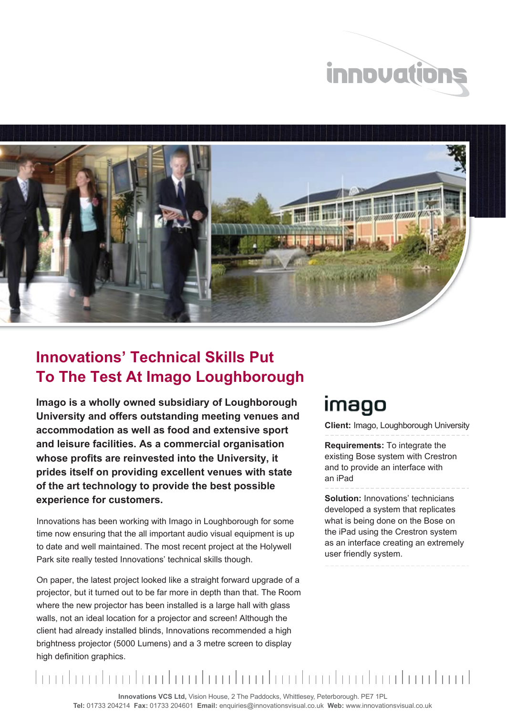



## **Innovations' Technical Skills Put To The Test At Imago Loughborough**

**Imago is a wholly owned subsidiary of Loughborough University and offers outstanding meeting venues and accommodation as well as food and extensive sport and leisure facilities. As a commercial organisation whose profits are reinvested into the University, it prides itself on providing excellent venues with state of the art technology to provide the best possible experience for customers.** 

Innovations has been working with Imago in Loughborough for some time now ensuring that the all important audio visual equipment is up to date and well maintained. The most recent project at the Holywell Park site really tested Innovations' technical skills though.

On paper, the latest project looked like a straight forward upgrade of a projector, but it turned out to be far more in depth than that. The Room where the new projector has been installed is a large hall with glass walls, not an ideal location for a projector and screen! Although the client had already installed blinds, Innovations recommended a high brightness projector (5000 Lumens) and a 3 metre screen to display high definition graphics.

## imago

**Client:** Imago, Loughborough University

**Requirements:** To integrate the existing Bose system with Crestron and to provide an interface with an iPad

**Solution:** Innovations' technicians developed a system that replicates what is being done on the Bose on the iPad using the Crestron system as an interface creating an extremely user friendly system.

mula adamları banlandan dan banlandan banlandan b